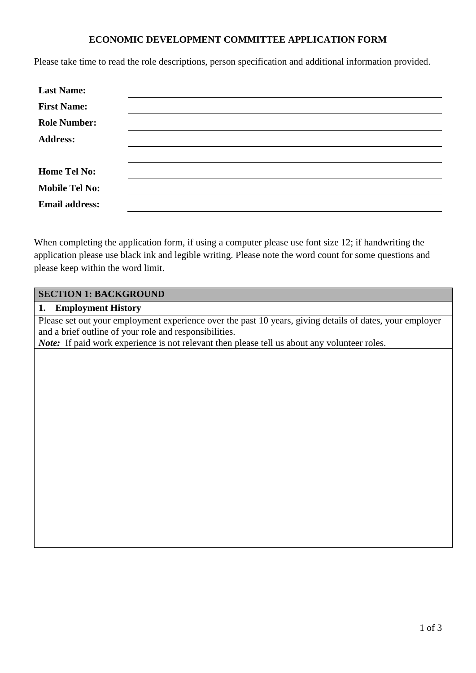#### **ECONOMIC DEVELOPMENT COMMITTEE APPLICATION FORM**

Please take time to read the role descriptions, person specification and additional information provided.

| <b>Last Name:</b>     |  |  |
|-----------------------|--|--|
| <b>First Name:</b>    |  |  |
| <b>Role Number:</b>   |  |  |
| <b>Address:</b>       |  |  |
|                       |  |  |
| <b>Home Tel No:</b>   |  |  |
| <b>Mobile Tel No:</b> |  |  |
| <b>Email address:</b> |  |  |

When completing the application form, if using a computer please use font size 12; if handwriting the application please use black ink and legible writing. Please note the word count for some questions and please keep within the word limit.

### **SECTION 1: BACKGROUND**

#### **1. Employment History**

Please set out your employment experience over the past 10 years, giving details of dates, your employer and a brief outline of your role and responsibilities. *Note:* If paid work experience is not relevant then please tell us about any volunteer roles.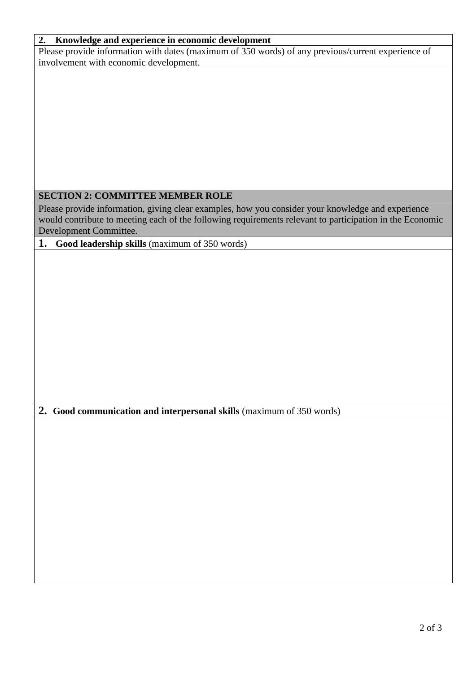## **2. Knowledge and experience in economic development**

Please provide information with dates (maximum of 350 words) of any previous/current experience of involvement with economic development.

# **SECTION 2: COMMITTEE MEMBER ROLE**

Please provide information, giving clear examples, how you consider your knowledge and experience would contribute to meeting each of the following requirements relevant to participation in the Economic Development Committee.

**1. Good leadership skills** (maximum of 350 words)

**2. Good communication and interpersonal skills** (maximum of 350 words)